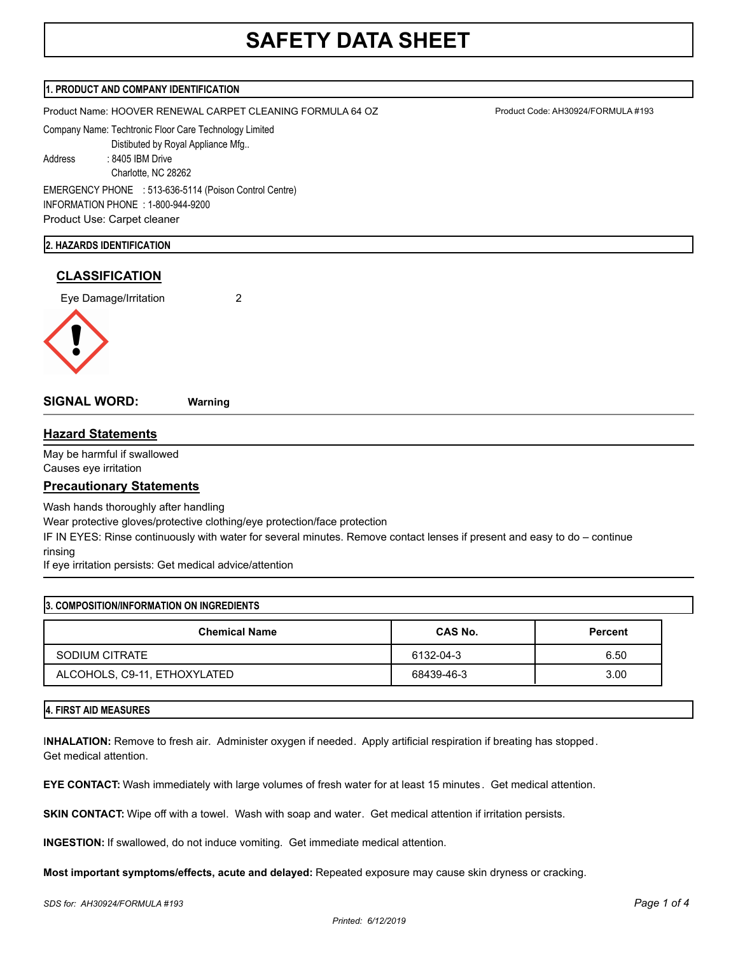# **SAFETY DATA SHEET**

## **1. PRODUCT AND COMPANY IDENTIFICATION**

Product Name: HOOVER RENEWAL CARPET CLEANING FORMULA 64 OZ Product Code: AH30924/FORMULA #193

Company Name: Techtronic Floor Care Technology Limited

Distibuted by Royal Appliance Mfg..

Address : 8405 IBM Drive

 Charlotte, NC 28262 EMERGENCY PHONE : 513-636-5114 (Poison Control Centre) INFORMATION PHONE : 1-800-944-9200

Product Use: Carpet cleaner

## **2. HAZARDS IDENTIFICATION**

# **CLASSIFICATION**

Eye Damage/Irritation 2



**SIGNAL WORD: Warning**

# **Hazard Statements**

May be harmful if swallowed Causes eye irritation

# **Precautionary Statements**

Wash hands thoroughly after handling

Wear protective gloves/protective clothing/eye protection/face protection

IF IN EYES: Rinse continuously with water for several minutes. Remove contact lenses if present and easy to do – continue rinsing

If eye irritation persists: Get medical advice/attention

| 3. COMPOSITION/INFORMATION ON INGREDIENTS |                |                |  |
|-------------------------------------------|----------------|----------------|--|
| <b>Chemical Name</b>                      | <b>CAS No.</b> | <b>Percent</b> |  |
| SODIUM CITRATE                            | 6132-04-3      | 6.50           |  |
| ALCOHOLS, C9-11, ETHOXYLATED              | 68439-46-3     | 3.00           |  |

# **4. FIRST AID MEASURES**

I**NHALATION:** Remove to fresh air. Administer oxygen if needed. Apply artificial respiration if breating has stopped. Get medical attention.

**EYE CONTACT:** Wash immediately with large volumes of fresh water for at least 15 minutes . Get medical attention.

**SKIN CONTACT:** Wipe off with a towel. Wash with soap and water. Get medical attention if irritation persists.

**INGESTION:** If swallowed, do not induce vomiting. Get immediate medical attention.

**Most important symptoms/effects, acute and delayed:** Repeated exposure may cause skin dryness or cracking.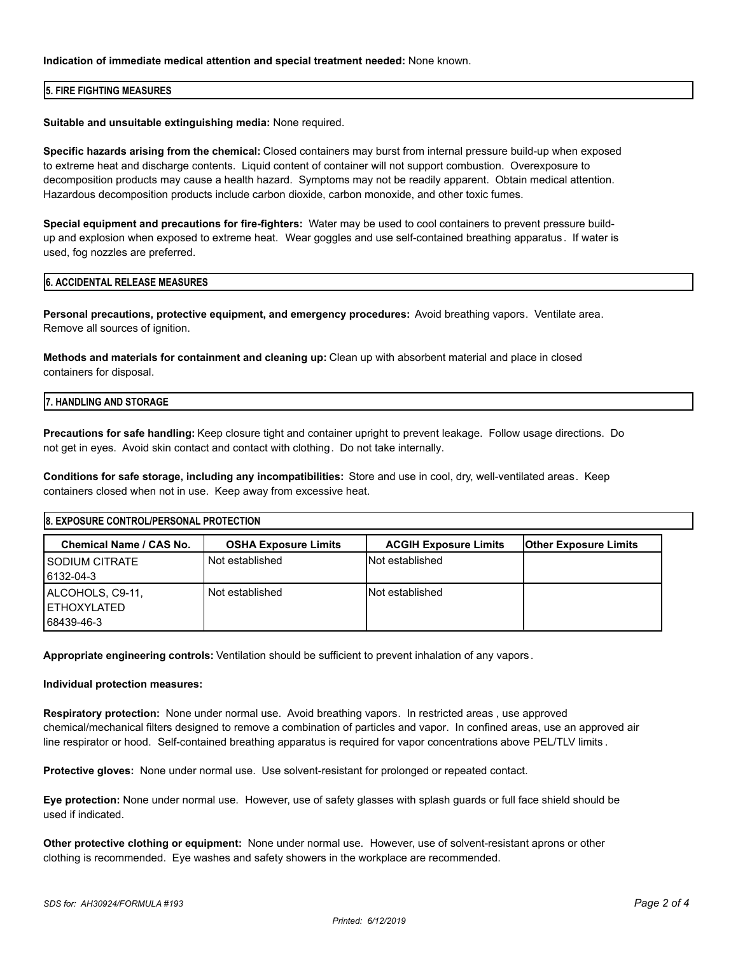## **Indication of immediate medical attention and special treatment needed:** None known.

## **5. FIRE FIGHTING MEASURES**

## **Suitable and unsuitable extinguishing media:** None required.

**Specific hazards arising from the chemical:** Closed containers may burst from internal pressure build-up when exposed to extreme heat and discharge contents. Liquid content of container will not support combustion. Overexposure to decomposition products may cause a health hazard. Symptoms may not be readily apparent. Obtain medical attention. Hazardous decomposition products include carbon dioxide, carbon monoxide, and other toxic fumes.

**Special equipment and precautions for fire-fighters:** Water may be used to cool containers to prevent pressure buildup and explosion when exposed to extreme heat. Wear goggles and use self-contained breathing apparatus . If water is used, fog nozzles are preferred.

#### **6. ACCIDENTAL RELEASE MEASURES**

**Personal precautions, protective equipment, and emergency procedures:** Avoid breathing vapors. Ventilate area. Remove all sources of ignition.

**Methods and materials for containment and cleaning up:** Clean up with absorbent material and place in closed containers for disposal.

# **7. HANDLING AND STORAGE**

**Precautions for safe handling:** Keep closure tight and container upright to prevent leakage. Follow usage directions. Do not get in eyes. Avoid skin contact and contact with clothing. Do not take internally.

**Conditions for safe storage, including any incompatibilities:** Store and use in cool, dry, well-ventilated areas. Keep containers closed when not in use. Keep away from excessive heat.

# **8. EXPOSURE CONTROL/PERSONAL PROTECTION Chemical Name / CAS No. OSHA Exposure Limits ACGIH Exposure Limits Other Exposure Limits** SODIUM CITRATE Not established Not established Not established 6132-04-3 ALCOHOLS, C9-11, Not established Not established ETHOXYLATED 68439-46-3

**Appropriate engineering controls:** Ventilation should be sufficient to prevent inhalation of any vapors .

## **Individual protection measures:**

**Respiratory protection:** None under normal use. Avoid breathing vapors. In restricted areas , use approved chemical/mechanical filters designed to remove a combination of particles and vapor. In confined areas, use an approved air line respirator or hood. Self-contained breathing apparatus is required for vapor concentrations above PEL/TLV limits .

**Protective gloves:** None under normal use. Use solvent-resistant for prolonged or repeated contact.

**Eye protection:** None under normal use. However, use of safety glasses with splash guards or full face shield should be used if indicated.

**Other protective clothing or equipment:** None under normal use. However, use of solvent-resistant aprons or other clothing is recommended. Eye washes and safety showers in the workplace are recommended.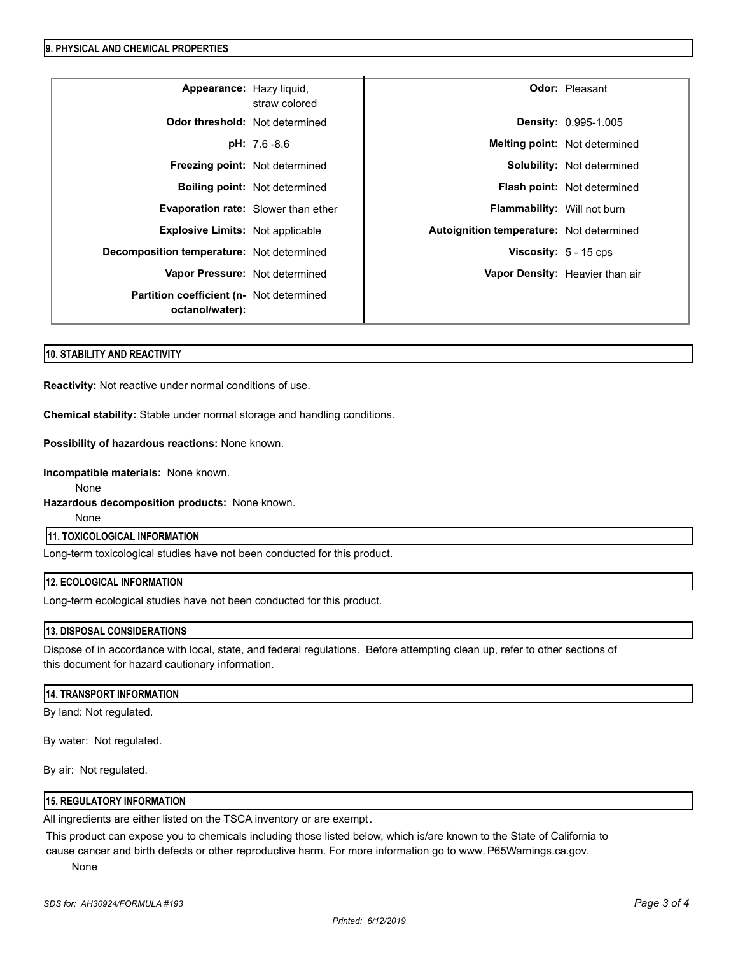#### **9. PHYSICAL AND CHEMICAL PROPERTIES**

| Appearance: Hazy liquid,                                            | straw colored                        |                                          | <b>Odor: Pleasant</b>              |
|---------------------------------------------------------------------|--------------------------------------|------------------------------------------|------------------------------------|
| <b>Odor threshold:</b> Not determined                               |                                      |                                          | Density: 0.995-1.005               |
|                                                                     | $pH: 7.6 - 8.6$                      |                                          | Melting point: Not determined      |
| Freezing point: Not determined                                      |                                      |                                          | <b>Solubility:</b> Not determined  |
|                                                                     | <b>Boiling point:</b> Not determined |                                          | <b>Flash point:</b> Not determined |
| Evaporation rate: Slower than ether                                 |                                      | Flammability: Will not burn              |                                    |
| <b>Explosive Limits: Not applicable</b>                             |                                      | Autoignition temperature: Not determined |                                    |
| Decomposition temperature: Not determined                           |                                      | <b>Viscosity:</b> $5 - 15$ cps           |                                    |
| Vapor Pressure: Not determined                                      |                                      |                                          | Vapor Density: Heavier than air    |
| <b>Partition coefficient (n- Not determined)</b><br>octanol/water): |                                      |                                          |                                    |

## **10. STABILITY AND REACTIVITY**

**Reactivity:** Not reactive under normal conditions of use.

**Chemical stability:** Stable under normal storage and handling conditions.

**Possibility of hazardous reactions:** None known.

**Incompatible materials:** None known.

None

**Hazardous decomposition products:** None known.

None

# **11. TOXICOLOGICAL INFORMATION**

Long-term toxicological studies have not been conducted for this product.

## **12. ECOLOGICAL INFORMATION**

Long-term ecological studies have not been conducted for this product.

## **13. DISPOSAL CONSIDERATIONS**

Dispose of in accordance with local, state, and federal regulations. Before attempting clean up, refer to other sections of this document for hazard cautionary information.

#### **14. TRANSPORT INFORMATION**

By land: Not regulated.

By water: Not regulated.

By air: Not regulated.

## **15. REGULATORY INFORMATION**

All ingredients are either listed on the TSCA inventory or are exempt.

This product can expose you to chemicals including those listed below, which is/are known to the State of California to cause cancer and birth defects or other reproductive harm. For more information go to www. P65Warnings.ca.gov.

None